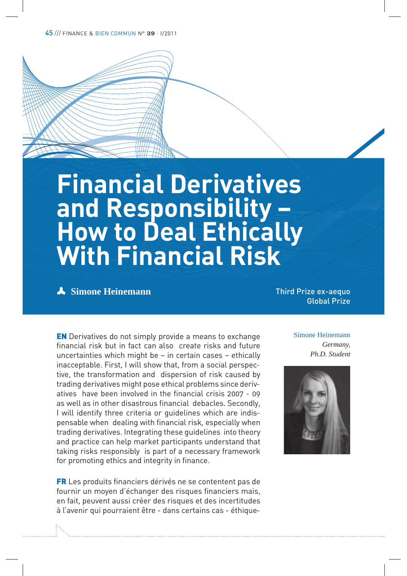45 /// FINANCE & BIEN COMMUN N° 39 · I/2011

# **Financial Derivatives and Responsibility – How to Deal Ethically With Financial Risk**

# **A** Simone Heinemann

Third Prize ex-aequo Global Prize

EN Derivatives do not simply provide a means to exchange financial risk but in fact can also create risks and future uncertainties which might be – in certain cases – ethically inacceptable. First, I will show that, from a social perspective, the transformation and dispersion of risk caused by trading derivatives might pose ethical problems since derivatives have been involved in the financial crisis 2007 - 09 as well as in other disastrous financial debacles. Secondly, I will identify three criteria or guidelines which are indispensable when dealing with financial risk, especially when trading derivatives. Integrating these guidelines into theory and practice can help market participants understand that taking risks responsibly is part of a necessary framework for promoting ethics and integrity in finance.

FR Les produits financiers dérivés ne se contentent pas de fournir un moyen d'échanger des risques financiers mais, en fait, peuvent aussi créer des risques et des incertitudes à l'avenir qui pourraient être - dans certains cas - éthiqueSimone Heinemann *Germany, Ph.D. Student*

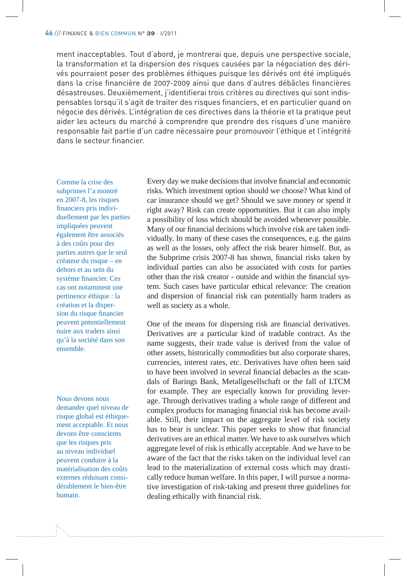ment inacceptables. Tout d'abord, je montrerai que, depuis une perspective sociale, la transformation et la dispersion des risques causées par la négociation des dérivés pourraient poser des problèmes éthiques puisque les dérivés ont été impliqués dans la crise financière de 2007-2009 ainsi que dans d'autres débâcles financières désastreuses. Deuxièmement, j'identifierai trois critères ou directives qui sont indispensables lorsqu'il s'agit de traiter des risques financiers, et en particulier quand on négocie des dérivés. L'intégration de ces directives dans la théorie et la pratique peut aider les acteurs du marché à comprendre que prendre des risques d'une manière responsable fait partie d'un cadre nécessaire pour promouvoir l'éthique et l'intégrité dans le secteur financier.

Comme la crise des subprimes l'a montré en 2007-8, les risques financiers pris individuellement par les parties impliquées peuvent également être associés à des coûts pour des parties autres que le seul créateur du risque – en dehors et au sein du système financier. Ces cas ont notamment une pertinence éthique : la création et la dispersion du risque financier peuvent potentiellement nuire aux traders ainsi qu'à la société dans son ensemble.

Nous devons nous demander quel niveau de risque global est éthiquement acceptable. Et nous devons être conscients que les risques pris au niveau individuel peuvent conduire à la matérialisation des coûts externes réduisant considérablement le bien-être humain.

Every day we make decisions that involve financial and economic risks. Which investment option should we choose? What kind of car insurance should we get? Should we save money or spend it right away? Risk can create opportunities. But it can also imply a possibility of loss which should be avoided whenever possible. Many of our financial decisions which involve risk are taken individually. In many of these cases the consequences, e.g. the gains as well as the losses, only affect the risk bearer himself. But, as the Subprime crisis 2007-8 has shown, financial risks taken by individual parties can also be associated with costs for parties other than the risk creator - outside and within the financial system. Such cases have particular ethical relevance: The creation and dispersion of financial risk can potentially harm traders as well as society as a whole.

One of the means for dispersing risk are financial derivatives. Derivatives are a particular kind of tradable contract. As the name suggests, their trade value is derived from the value of other assets, historically commodities but also corporate shares, currencies, interest rates, etc. Derivatives have often been said to have been involved in several financial debacles as the scandals of Barings Bank, Metallgesellschaft or the fall of LTCM for example. They are especially known for providing leverage. Through derivatives trading a whole range of different and complex products for managing financial risk has become available. Still, their impact on the aggregate level of risk society has to bear is unclear. This paper seeks to show that financial derivatives are an ethical matter. We have to ask ourselves which aggregate level of risk is ethically acceptable. And we have to be aware of the fact that the risks taken on the individual level can lead to the materialization of external costs which may drastically reduce human welfare. In this paper, I will pursue a normative investigation of risk-taking and present three guidelines for dealing ethically with financial risk.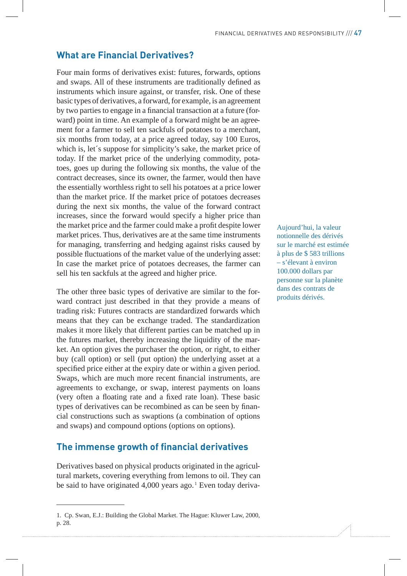# **What are Financial Derivatives?**

Four main forms of derivatives exist: futures, forwards, options and swaps. All of these instruments are traditionally defined as instruments which insure against, or transfer, risk. One of these basic types of derivatives, a forward, for example, is an agreement by two parties to engage in a financial transaction at a future (forward) point in time. An example of a forward might be an agreement for a farmer to sell ten sackfuls of potatoes to a merchant, six months from today, at a price agreed today, say 100 Euros, which is, let´s suppose for simplicity's sake, the market price of today. If the market price of the underlying commodity, potatoes, goes up during the following six months, the value of the contract decreases, since its owner, the farmer, would then have the essentially worthless right to sell his potatoes at a price lower than the market price. If the market price of potatoes decreases during the next six months, the value of the forward contract increases, since the forward would specify a higher price than the market price and the farmer could make a profit despite lower market prices. Thus, derivatives are at the same time instruments for managing, transferring and hedging against risks caused by possible fluctuations of the market value of the underlying asset: In case the market price of potatoes decreases, the farmer can sell his ten sackfuls at the agreed and higher price.

The other three basic types of derivative are similar to the forward contract just described in that they provide a means of trading risk: Futures contracts are standardized forwards which means that they can be exchange traded. The standardization makes it more likely that different parties can be matched up in the futures market, thereby increasing the liquidity of the market. An option gives the purchaser the option, or right, to either buy (call option) or sell (put option) the underlying asset at a specified price either at the expiry date or within a given period. Swaps, which are much more recent financial instruments, are agreements to exchange, or swap, interest payments on loans (very often a floating rate and a fixed rate loan). These basic types of derivatives can be recombined as can be seen by financial constructions such as swaptions (a combination of options and swaps) and compound options (options on options).

#### **The immense growth of financial derivatives**

Derivatives based on physical products originated in the agricultural markets, covering everything from lemons to oil. They can be said to have originated 4,000 years ago.<sup>1</sup> Even today derivaAujourd'hui, la valeur notionnelle des dérivés sur le marché est estimée à plus de \$ 583 trillions – s'élevant à environ 100.000 dollars par personne sur la planète dans des contrats de produits dérivés.

<sup>1.</sup> Cp. Swan, E.J.: Building the Global Market. The Hague: Kluwer Law, 2000, p. 28.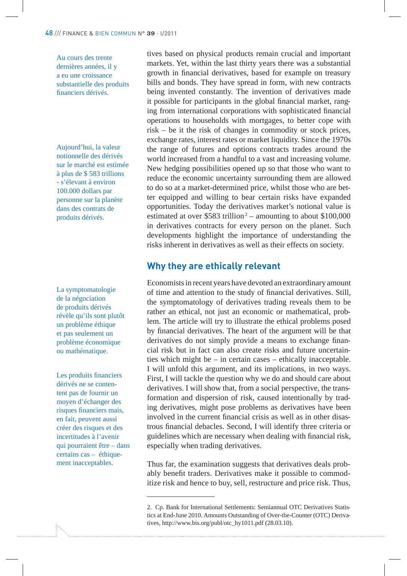Au cours des trente dernières années, il y a eu une croissance substantielle des produits financiers dérivés.

Aujourd'hui, la valeur notionnelle des dérivés sur le marché est estimée à plus de \$ 583 trillions - s'élevant à environ 100.000 dollars par personne sur la planète dans des contrats de produits dérivés.

La symptomatologie de la négociation de produits dérivés révèle qu'ils sont plutôt un problème éthique et pas seulement un problème économique ou mathématique.

Les produits financiers dérivés ne se contentent pas de fournir un moyen d'échanger des risques financiers mais, en fait, peuvent aussi créer des risques et des incertitudes à l'avenir qui pourraient être – dans certains cas – éthiquement inacceptables.

tives based on physical products remain crucial and important markets. Yet, within the last thirty years there was a substantial growth in financial derivatives, based for example on treasury bills and bonds. They have spread in form, with new contracts being invented constantly. The invention of derivatives made it possible for participants in the global financial market, ranging from international corporations with sophisticated financial operations to households with mortgages, to better cope with risk – be it the risk of changes in commodity or stock prices, exchange rates, interest rates or market liquidity. Since the 1970s the range of futures and options contracts trades around the world increased from a handful to a vast and increasing volume. New hedging possibilities opened up so that those who want to reduce the economic uncertainty surrounding them are allowed to do so at a market-determined price, whilst those who are better equipped and willing to bear certain risks have expanded opportunities. Today the derivatives market's notional value is estimated at over  $$583$  trillion<sup>2</sup> – amounting to about  $$100,000$ in derivatives contracts for every person on the planet. Such developments highlight the importance of understanding the risks inherent in derivatives as well as their effects on society.

#### **Why they are ethically relevant**

Economists in recent years have devoted an extraordinary amount of time and attention to the study of financial derivatives. Still, the symptomatology of derivatives trading reveals them to be rather an ethical, not just an economic or mathematical, problem. The article will try to illustrate the ethical problems posed by financial derivatives. The heart of the argument will be that derivatives do not simply provide a means to exchange financial risk but in fact can also create risks and future uncertainties which might be – in certain cases – ethically inacceptable. I will unfold this argument, and its implications, in two ways. First, I will tackle the question why we do and should care about derivatives. I will show that, from a social perspective, the transformation and dispersion of risk, caused intentionally by trading derivatives, might pose problems as derivatives have been involved in the current financial crisis as well as in other disastrous financial debacles. Second, I will identify three criteria or guidelines which are necessary when dealing with financial risk, especially when trading derivatives.

Thus far, the examination suggests that derivatives deals probably benefit traders. Derivatives make it possible to commoditize risk and hence to buy, sell, restructure and price risk. Thus,

<sup>2.</sup> Cp. Bank for International Settlements: Semiannual OTC Derivatives Statistics at End-June 2010. Amounts Outstanding of Over-the-Counter (OTC) Derivatives, http://www.bis.org/publ/otc\_hy1011.pdf (28.03.10).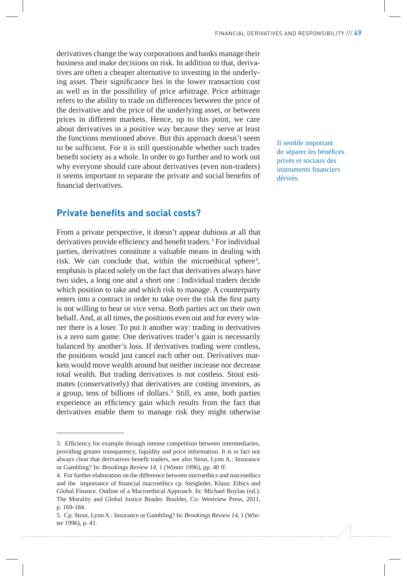derivatives change the way corporations and banks manage their business and make decisions on risk. In addition to that, derivatives are often a cheaper alternative to investing in the underlying asset. Their significance lies in the lower transaction cost as well as in the possibility of price arbitrage. Price arbitrage refers to the ability to trade on differences between the price of the derivative and the price of the underlying asset, or between prices in different markets. Hence, up to this point, we care about derivatives in a positive way because they serve at least the functions mentioned above. But this approach doesn't seem to be sufficient. For it is still questionable whether such trades benefit society as a whole. In order to go further and to work out why everyone should care about derivatives (even non-traders) it seems important to separate the private and social benefits of financial derivatives.

### **Private benefits and social costs?**

From a private perspective, it doesn't appear dubious at all that derivatives provide efficiency and benefit traders.<sup>3</sup> For individual parties, derivatives constitute a valuable means in dealing with risk. We can conclude that, within the microethical sphere<sup>4</sup>, emphasis is placed solely on the fact that derivatives always have two sides, a long one and a short one : Individual traders decide which position to take and which risk to manage. A counterparty enters into a contract in order to take over the risk the first party is not willing to bear or vice versa. Both parties act on their own behalf. And, at all times, the positions even out and for every winner there is a loser. To put it another way: trading in derivatives is a zero sum game: One derivatives trader's gain is necessarily balanced by another's loss. If derivatives trading were costless, the positions would just cancel each other out. Derivatives markets would move wealth around but neither increase nor decrease total wealth. But trading derivatives is not costless. Stout estimates (conservatively) that derivatives are costing investors, as a group, tens of billions of dollars.<sup>5</sup> Still, ex ante, both parties experience an efficiency gain which results from the fact that derivatives enable them to manage risk they might otherwise

Il semble important de séparer les bénéfices privés et sociaux des instruments financiers dérivés.

<sup>3.</sup> Efficiency for example through intense competition between intermediaries, providing greater transparency, liquidity and price information. It is in fact not always clear that derivatives benefit traders, see also Stout, Lynn A.: Insurance or Gambling? In: *Brookings Review 14*, 1 (Winter 1996), pp. 40 ff.

<sup>4.</sup> For further elaboration on the difference between microethics and macroethics and the importance of financial macroethics cp. Steigleder, Klaus: Ethics and Global Finance. Outline of a Macroethical Approach. In: Michael Boylan (ed.): The Morality and Global Justice Reader. Boulder, Co: Westview Press, 2011, p. 169-184.

<sup>5.</sup> Cp. Stout, Lynn A.: Insurance or Gambling? In: *Brookings Review 14*, 1 (Winter 1996), p. 41.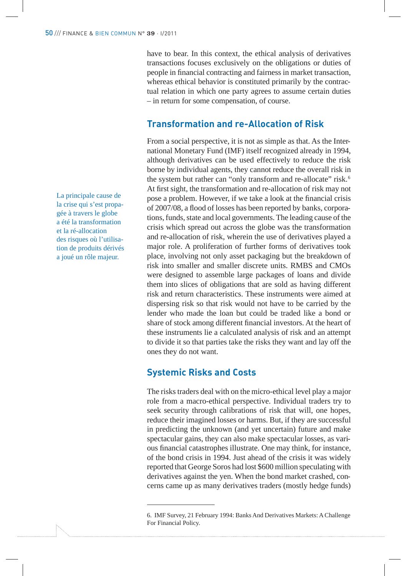have to bear. In this context, the ethical analysis of derivatives transactions focuses exclusively on the obligations or duties of people in financial contracting and fairness in market transaction, whereas ethical behavior is constituted primarily by the contractual relation in which one party agrees to assume certain duties – in return for some compensation, of course.

## **Transformation and re-Allocation of Risk**

From a social perspective, it is not as simple as that. As the International Monetary Fund (IMF) itself recognized already in 1994, although derivatives can be used effectively to reduce the risk borne by individual agents, they cannot reduce the overall risk in the system but rather can "only transform and re-allocate" risk.<sup>6</sup> At first sight, the transformation and re-allocation of risk may not pose a problem. However, if we take a look at the financial crisis of 2007/08, a flood of losses has been reported by banks, corporations, funds, state and local governments. The leading cause of the crisis which spread out across the globe was the transformation and re-allocation of risk, wherein the use of derivatives played a major role. A proliferation of further forms of derivatives took place, involving not only asset packaging but the breakdown of risk into smaller and smaller discrete units. RMBS and CMOs were designed to assemble large packages of loans and divide them into slices of obligations that are sold as having different risk and return characteristics. These instruments were aimed at dispersing risk so that risk would not have to be carried by the lender who made the loan but could be traded like a bond or share of stock among different financial investors. At the heart of these instruments lie a calculated analysis of risk and an attempt to divide it so that parties take the risks they want and lay off the ones they do not want.

#### **Systemic Risks and Costs**

The risks traders deal with on the micro-ethical level play a major role from a macro-ethical perspective. Individual traders try to seek security through calibrations of risk that will, one hopes, reduce their imagined losses or harms. But, if they are successful in predicting the unknown (and yet uncertain) future and make spectacular gains, they can also make spectacular losses, as various financial catastrophes illustrate. One may think, for instance, of the bond crisis in 1994. Just ahead of the crisis it was widely reported that George Soros had lost \$600 million speculating with derivatives against the yen. When the bond market crashed, concerns came up as many derivatives traders (mostly hedge funds)

La principale cause de la crise qui s'est propagée à travers le globe a été la transformation et la ré-allocation des risques où l'utilisation de produits dérivés a joué un rôle majeur.

<sup>6.</sup> IMF Survey, 21 February 1994: Banks And Derivatives Markets: A Challenge For Financial Policy.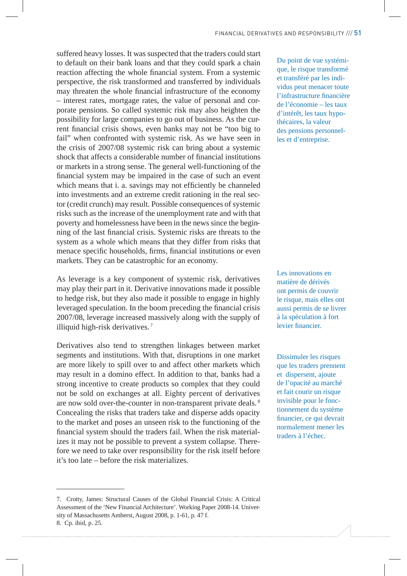suffered heavy losses. It was suspected that the traders could start to default on their bank loans and that they could spark a chain reaction affecting the whole financial system. From a systemic perspective, the risk transformed and transferred by individuals may threaten the whole financial infrastructure of the economy – interest rates, mortgage rates, the value of personal and corporate pensions. So called systemic risk may also heighten the possibility for large companies to go out of business. As the current financial crisis shows, even banks may not be "too big to fail" when confronted with systemic risk. As we have seen in the crisis of 2007/08 systemic risk can bring about a systemic shock that affects a considerable number of financial institutions or markets in a strong sense. The general well-functioning of the financial system may be impaired in the case of such an event which means that i. a. savings may not efficiently be channeled into investments and an extreme credit rationing in the real sector (credit crunch) may result. Possible consequences of systemic risks such as the increase of the unemployment rate and with that poverty and homelessness have been in the news since the beginning of the last financial crisis. Systemic risks are threats to the system as a whole which means that they differ from risks that menace specific households, firms, financial institutions or even markets. They can be catastrophic for an economy.

As leverage is a key component of systemic risk, derivatives may play their part in it. Derivative innovations made it possible to hedge risk, but they also made it possible to engage in highly leveraged speculation. In the boom preceding the financial crisis 2007/08, leverage increased massively along with the supply of illiquid high-risk derivatives. <sup>7</sup>

Derivatives also tend to strengthen linkages between market segments and institutions. With that, disruptions in one market are more likely to spill over to and affect other markets which may result in a domino effect. In addition to that, banks had a strong incentive to create products so complex that they could not be sold on exchanges at all. Eighty percent of derivatives are now sold over-the-counter in non-transparent private deals.<sup>8</sup> Concealing the risks that traders take and disperse adds opacity to the market and poses an unseen risk to the functioning of the financial system should the traders fail. When the risk materializes it may not be possible to prevent a system collapse. Therefore we need to take over responsibility for the risk itself before it's too late – before the risk materializes.

Du point de vue systémique, le risque transformé et transféré par les individus peut menacer toute l'infrastructure financière de l'économie – les taux d'intérêt, les taux hypothécaires, la valeur des pensions personnelles et d'entreprise.

Les innovations en matière de dérivés ont permis de couvrir le risque, mais elles ont aussi permis de se livrer à la spéculation à fort levier financier.

Dissimuler les risques que les traders prennent et dispersent, ajoute de l'opacité au marché et fait courir un risque invisible pour le fonctionnement du système financier, ce qui devrait normalement mener les traders à l'échec.

<sup>7.</sup> Crotty, James: Structural Causes of the Global Financial Crisis: A Critical Assessment of the 'New Financial Architecture'. Working Paper 2008-14. University of Massachusetts Amherst, August 2008, p. 1-61, p. 47 f. 8. Cp. ibid, p. 25.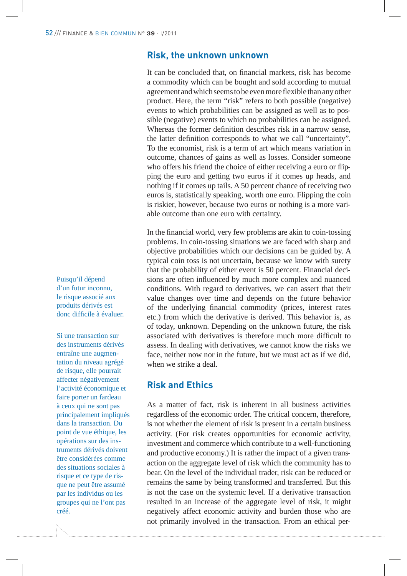#### **Risk, the unknown unknown**

It can be concluded that, on financial markets, risk has become a commodity which can be bought and sold according to mutual agreement and which seems to be even more flexible than any other product. Here, the term "risk" refers to both possible (negative) events to which probabilities can be assigned as well as to possible (negative) events to which no probabilities can be assigned. Whereas the former definition describes risk in a narrow sense, the latter definition corresponds to what we call "uncertainty". To the economist, risk is a term of art which means variation in outcome, chances of gains as well as losses. Consider someone who offers his friend the choice of either receiving a euro or flipping the euro and getting two euros if it comes up heads, and nothing if it comes up tails. A 50 percent chance of receiving two euros is, statistically speaking, worth one euro. Flipping the coin is riskier, however, because two euros or nothing is a more variable outcome than one euro with certainty.

In the financial world, very few problems are akin to coin-tossing problems. In coin-tossing situations we are faced with sharp and objective probabilities which our decisions can be guided by. A typical coin toss is not uncertain, because we know with surety that the probability of either event is 50 percent. Financial decisions are often influenced by much more complex and nuanced conditions. With regard to derivatives, we can assert that their value changes over time and depends on the future behavior of the underlying financial commodity (prices, interest rates etc.) from which the derivative is derived. This behavior is, as of today, unknown. Depending on the unknown future, the risk associated with derivatives is therefore much more difficult to assess. In dealing with derivatives, we cannot know the risks we face, neither now nor in the future, but we must act as if we did, when we strike a deal.

# **Risk and Ethics**

As a matter of fact, risk is inherent in all business activities regardless of the economic order. The critical concern, therefore, is not whether the element of risk is present in a certain business activity. (For risk creates opportunities for economic activity, investment and commerce which contribute to a well-functioning and productive economy.) It is rather the impact of a given transaction on the aggregate level of risk which the community has to bear. On the level of the individual trader, risk can be reduced or remains the same by being transformed and transferred. But this is not the case on the systemic level. If a derivative transaction resulted in an increase of the aggregate level of risk, it might negatively affect economic activity and burden those who are not primarily involved in the transaction. From an ethical per-

Puisqu'il dépend d'un futur inconnu, le risque associé aux produits dérivés est donc difficile à évaluer.

Si une transaction sur des instruments dérivés entraîne une augmentation du niveau agrégé de risque, elle pourrait affecter négativement l'activité économique et faire porter un fardeau à ceux qui ne sont pas principalement impliqués dans la transaction. Du point de vue éthique, les opérations sur des instruments dérivés doivent être considérées comme des situations sociales à risque et ce type de risque ne peut être assumé par les individus ou les groupes qui ne l'ont pas créé.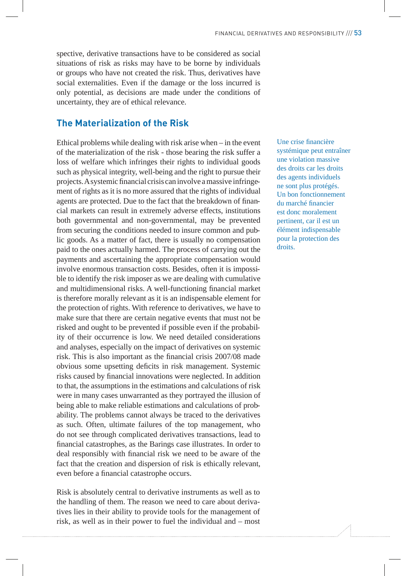spective, derivative transactions have to be considered as social situations of risk as risks may have to be borne by individuals or groups who have not created the risk. Thus, derivatives have social externalities. Even if the damage or the loss incurred is only potential, as decisions are made under the conditions of uncertainty, they are of ethical relevance.

# **The Materialization of the Risk**

Ethical problems while dealing with risk arise when – in the event of the materialization of the risk - those bearing the risk suffer a loss of welfare which infringes their rights to individual goods such as physical integrity, well-being and the right to pursue their projects. A systemic financial crisis can involve a massive infringement of rights as it is no more assured that the rights of individual agents are protected. Due to the fact that the breakdown of financial markets can result in extremely adverse effects, institutions both governmental and non-governmental, may be prevented from securing the conditions needed to insure common and public goods. As a matter of fact, there is usually no compensation paid to the ones actually harmed. The process of carrying out the payments and ascertaining the appropriate compensation would involve enormous transaction costs. Besides, often it is impossible to identify the risk imposer as we are dealing with cumulative and multidimensional risks. A well-functioning financial market is therefore morally relevant as it is an indispensable element for the protection of rights. With reference to derivatives, we have to make sure that there are certain negative events that must not be risked and ought to be prevented if possible even if the probability of their occurrence is low. We need detailed considerations and analyses, especially on the impact of derivatives on systemic risk. This is also important as the financial crisis 2007/08 made obvious some upsetting deficits in risk management. Systemic risks caused by financial innovations were neglected. In addition to that, the assumptions in the estimations and calculations of risk were in many cases unwarranted as they portrayed the illusion of being able to make reliable estimations and calculations of probability. The problems cannot always be traced to the derivatives as such. Often, ultimate failures of the top management, who do not see through complicated derivatives transactions, lead to financial catastrophes, as the Barings case illustrates. In order to deal responsibly with financial risk we need to be aware of the fact that the creation and dispersion of risk is ethically relevant, even before a financial catastrophe occurs.

Risk is absolutely central to derivative instruments as well as to the handling of them. The reason we need to care about derivatives lies in their ability to provide tools for the management of risk, as well as in their power to fuel the individual and – most

Une crise financière systémique peut entraîner une violation massive des droits car les droits des agents individuels ne sont plus protégés. Un bon fonctionnement du marché financier est donc moralement pertinent, car il est un élément indispensable pour la protection des droits.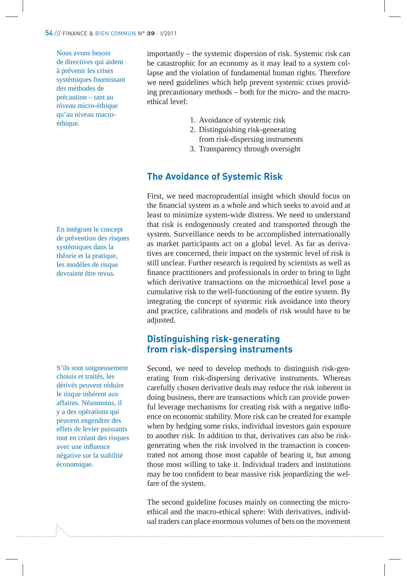Nous avons besoin de directives qui aident à prévenir les crises systémiques fournissant des méthodes de précaution – tant au niveau micro-éthique qu'au niveau macroéthique.

En intégrant le concept de prévention des risques systémiques dans la théorie et la pratique, les modèles de risque devraient être revus.

S'ils sont soigneusement choisis et traités, les dérivés peuvent réduire le risque inhérent aux affaires. Néanmoins, il y a des opérations qui peuvent engendrer des effets de levier puissants tout en créant des risques avec une influence négative sur la stabilité économique.

importantly – the systemic dispersion of risk. Systemic risk can be catastrophic for an economy as it may lead to a system collapse and the violation of fundamental human rights. Therefore we need guidelines which help prevent systemic crises providing precautionary methods – both for the micro- and the macroethical level:

- 1. Avoidance of systemic risk
- 2. Distinguishing risk-generating from risk-dispersing instruments
- 3. Transparency through oversight

## **The Avoidance of Systemic Risk**

First, we need macroprudential insight which should focus on the financial system as a whole and which seeks to avoid and at least to minimize system-wide distress. We need to understand that risk is endogenously created and transported through the system. Surveillance needs to be accomplished internationally as market participants act on a global level. As far as derivatives are concerned, their impact on the systemic level of risk is still unclear. Further research is required by scientists as well as finance practitioners and professionals in order to bring to light which derivative transactions on the microethical level pose a cumulative risk to the well-functioning of the entire system. By integrating the concept of systemic risk avoidance into theory and practice, calibrations and models of risk would have to be adjusted.

## **Distinguishing risk-generating from risk-dispersing instruments**

Second, we need to develop methods to distinguish risk-generating from risk-dispersing derivative instruments. Whereas carefully chosen derivative deals may reduce the risk inherent in doing business, there are transactions which can provide powerful leverage mechanisms for creating risk with a negative influence on economic stability. More risk can be created for example when by hedging some risks, individual investors gain exposure to another risk. In addition to that, derivatives can also be riskgenerating when the risk involved in the transaction is concentrated not among those most capable of bearing it, but among those most willing to take it. Individual traders and institutions may be too confident to bear massive risk jeopardizing the welfare of the system.

The second guideline focuses mainly on connecting the microethical and the macro-ethical sphere: With derivatives, individual traders can place enormous volumes of bets on the movement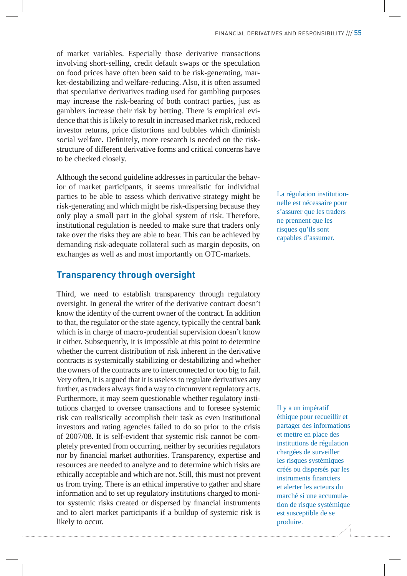of market variables. Especially those derivative transactions involving short-selling, credit default swaps or the speculation on food prices have often been said to be risk-generating, market-destabilizing and welfare-reducing. Also, it is often assumed that speculative derivatives trading used for gambling purposes may increase the risk-bearing of both contract parties, just as gamblers increase their risk by betting. There is empirical evidence that this is likely to result in increased market risk, reduced investor returns, price distortions and bubbles which diminish social welfare. Definitely, more research is needed on the riskstructure of different derivative forms and critical concerns have to be checked closely.

Although the second guideline addresses in particular the behavior of market participants, it seems unrealistic for individual parties to be able to assess which derivative strategy might be risk-generating and which might be risk-dispersing because they only play a small part in the global system of risk. Therefore, institutional regulation is needed to make sure that traders only take over the risks they are able to bear. This can be achieved by demanding risk-adequate collateral such as margin deposits, on exchanges as well as and most importantly on OTC-markets.

## **Transparency through oversight**

Third, we need to establish transparency through regulatory oversight. In general the writer of the derivative contract doesn't know the identity of the current owner of the contract. In addition to that, the regulator or the state agency, typically the central bank which is in charge of macro-prudential supervision doesn't know it either. Subsequently, it is impossible at this point to determine whether the current distribution of risk inherent in the derivative contracts is systemically stabilizing or destabilizing and whether the owners of the contracts are to interconnected or too big to fail. Very often, it is argued that it is useless to regulate derivatives any further, as traders always find a way to circumvent regulatory acts. Furthermore, it may seem questionable whether regulatory institutions charged to oversee transactions and to foresee systemic risk can realistically accomplish their task as even institutional investors and rating agencies failed to do so prior to the crisis of 2007/08. It is self-evident that systemic risk cannot be completely prevented from occurring, neither by securities regulators nor by !nancial market authorities. Transparency, expertise and resources are needed to analyze and to determine which risks are ethically acceptable and which are not. Still, this must not prevent us from trying. There is an ethical imperative to gather and share information and to set up regulatory institutions charged to monitor systemic risks created or dispersed by financial instruments and to alert market participants if a buildup of systemic risk is likely to occur.

La régulation institutionnelle est nécessaire pour s'assurer que les traders ne prennent que les risques qu'ils sont capables d'assumer.

Il y a un impératif éthique pour recueillir et partager des informations et mettre en place des institutions de régulation chargées de surveiller les risques systémiques créés ou dispersés par les instruments financiers et alerter les acteurs du marché si une accumulation de risque systémique est susceptible de se produire.